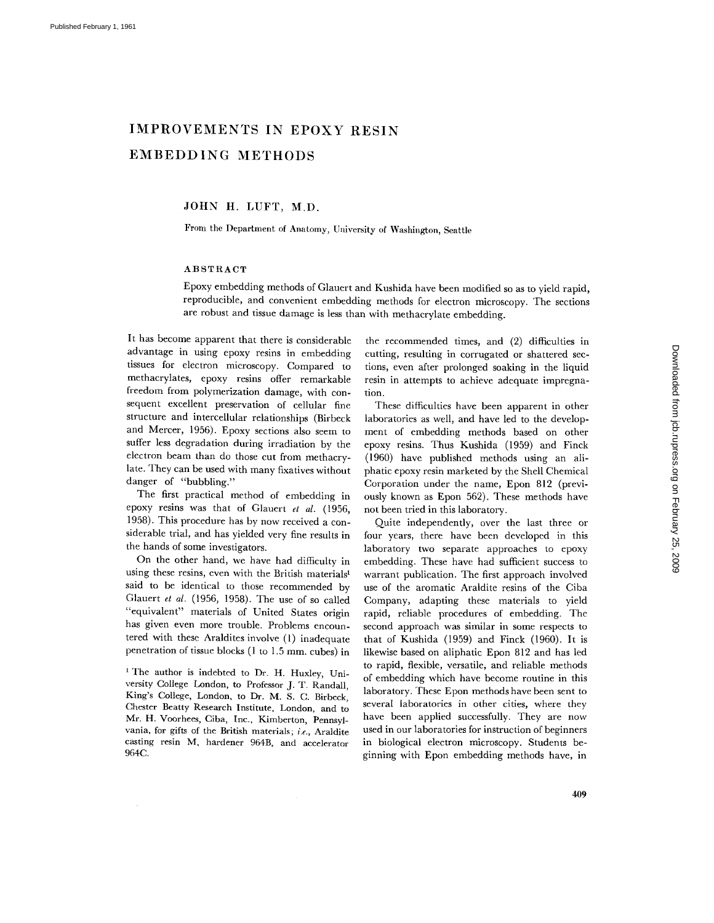# **IMPROVEMENTS IN EPOXY RESIN EMBEDDING METHODS**

JOHN H. LUFT, M.D.

From the Department of Anatomy, University of Washington, Seattle

# ABSTRACT

Epoxy embedding methods of Glauert and Kushida have been modified so as to yield rapid, reproducible, and convenient embedding methods for electron microscopy. The sections are robust and tissue damage is less than with methacrylate embedding.

It has become apparent that there is considerable advantage in using epoxy resins in embedding tissues for electron microscopy. Compared to methacrylates, epoxy resins offer remarkable freedom from polymerization damage, with consequent excellent preservation of cellular fine structure and intercellular relationships (Birbeck and Mercer, 1956). Epoxy sections also seem to suffer less degradation during irradiation by the electron beam than do those cut from methacrylate. They can be used with many fixatives without danger of "bubbling."

The first practical method of embedding in epoxy resins was that of Glauert *et al.* (1956, 1958). This procedure has by now received a considerable trial, and has yielded very fine results in the hands of some investigators.

On the other hand, we have had difficulty in using these resins, even with the British materials<sup>1</sup> said to be identical to those recommended by Glauert *et al.* (1956, 1958). The use of so called "equivalent" materials of United States origin has given even more trouble. Problems encountered with these Araldites involve (1) inadequate penetration of tissue blocks (1 to 1.5 mm. cubes) in

<sup>1</sup> The author is indebted to Dr. H. Huxley, University College London, to Professor J. T. Randall, King's College, London, to Dr. M. S. C. Birbeck, Chester Beatty Research Institute, London, and to Mr. H. Voorhees, Ciba, Inc., Kimberton, Pennsylvania, for gifts of the British materials; *i.e.,* Araldite casting resin M, hardener 964B, and accelerator 964C.

the recommended times, and (2) difficulties in cutting, resulting in corrugated or shattered sections, even after prolonged soaking in the liquid resin in attempts to achieve adequate impregnation.

These difficulties have been apparent in other laboratories as well, and have led to the development of embedding methods based on other epoxy resins. Thus Kushida (1959) and Finck (1960) have published methods using an aliphatic epoxy resin marketed by the Shell Chemical Corporation under the name, Epon 812 (previously known as Epon 562). These methods have not been tried in this laboratory.

Quite independently, over the last three or four years, there have been developed in this laboratory two separate approaches to epoxy embedding. These have had sufficient success to warrant publication. The first approach involved use of the aromatic Araldite resins of the Ciba Company, adapting these materials to yield rapid, reliable procedures of embedding. The second approach was similar in some respects to that of Kushida (1959) and Finck (1960). It is likewise based on aliphatic Epon 812 and has led to rapid, flexible, versatile, and reliable methods of embedding which have become routine in this laboratory. These Epon methods have been sent to several laboratories in other cities, where they have been applied successfully. They are now used in our laboratories for instruction of beginners in biological electron microscopy. Students beginning with Epon embedding methods have, in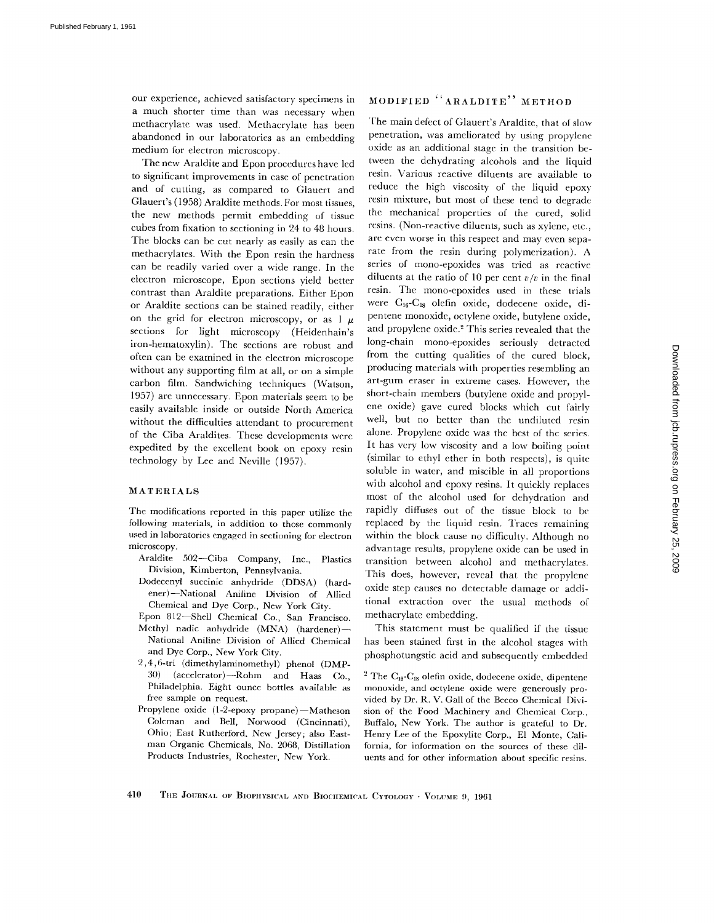our experience, achieved satisfactory specimens in a much shorter time than was necessary when methacrylate was used. Methacrylate has been abandoned in our laboratories as an embedding medium for electron microscopy.

The new Araldite and Epon procedures have led to significant improvements in case of penetration and of cutting, as compared to Glauert and Glauert's (1958) Araldite methods. For most tissues, the new methods permit embedding of tissue cubes from fixation to sectioning in 24 to 48 hours. The blocks can be cut nearly as easily as can the methacrylates. With the Epon resin the hardness can be readily varied over a wide range. In the electron microscope, Epon sections yield better contrast than Araldite preparations. Either Epon or Araldite sections can be stained readily, either on the grid for electron microscopy, or as  $1 \mu$ sections for light microscopy (Heidenhain's iron-hematoxylin). The sections are robust and often can be examined in the electron microscope without any supporting film at all, or on a simple carbon film. Sandwiching techniques (Watson, 1957) are unnecessary. Epon materials seem to be easily available inside or outside North America without the difficulties attendant to procurement of the Ciba Araldites. These developments were expedited by the excellent book on epoxy resin technology by Lee and Neville (1957).

## MATERIALS

The modifications reported in this paper utilize the following materials, in addition to those commonly used in laboratories engaged in sectioning for electron microscopy.

- Araldite 502--Ciba Company, Inc., Plastics Division, Kimberton, Pennsylvania.
- Dodecenyl succinie anhydride (DDSA) (hardener)--National Aniline Division of Allied Chemical and Dye Corp., New York City.
- Epon 812--Shell Chemical Co., San Francisco. Methyl nadic anhydride (MNA) (hardener)-National Aniline Division of Allied Chemical and Dye Corp., New York City.
- 2,4,6-tri (dimethylaminomethyl) phenol (DMP-30) (accelerator)--Rohm and Haas Co., Philadelphia. Eight ounce bottles available as free sample on request.
- Propylene oxide (1-2-epoxy propane)-Matheson Coleman and Bell, Norwood (Cincinnati), Ohio; East Rutherford. New Jersey; also Eastman Organic Chemicals, No. 2068, Distillation Products Industries, Rochester, New York.

# MODIFIED "ARALDITE" METHOD

The main defect of Glauert's Araldite, that ot slow penetration, was ameliorated by using propylene oxide as an additional stage in the transition between the dehydrating alcohols and the liquid resin. Various reactive diluents are available to reduce the high viscosity of the liquid epoxy resin mixture, but most of these tend to degrade the mechanical properties of the cured, solid resins. (Non-reactive diluents, such as xylene, etc., are even worse in this respect and may even separate from the resin during polymerization). A series of mono-epoxides was tried as reactive diluents at the ratio of 10 per cent  $v/v$  in the final resin. The mono-epoxides used in these trials were C<sub>16</sub>-C<sub>18</sub> olefin oxide, dodecene oxide, dipentene monoxide, octylene oxide, butylene oxide, and propylene oxide.<sup>2</sup> This series revealed that the long-chain mono-epoxides seriously detracted from the cutting qualities of the cured block, producing materials with properties resembling an art-gum eraser in extreme cases. However, the short-chain members (butylene oxide and propylene oxide) gave cured blocks which cut fairly well, but no better than the undiluted resin alone. Propylene oxide was the best of the series. It has very low viscosity and a low boiling point (similar to ethyl ether in both respects), is quite soluble in water, and miscible in all proportions with alcohol and epoxy resins. It quickly replaces most of the alcohol used for dehydration and rapidly diffuses out of the tissue block to be replaced by the liquid resin. Traces remaining within the block cause no difficulty. Although no advantage results, propylene oxide can be used in transition between alcohol and methacrylates. This does, however, reveal that the propylene oxide step causes no detectable damage or additional extraction over the usual methods of methacrylate embedding.

This statement must be qualified if the tissue has been stained first in the alcohol stages with phosphotungstic acid and subsequently embedded

<sup>2</sup> The C<sub>16</sub>-C<sub>18</sub> olefin oxide, dodecene oxide, dipentene monoxide, and oetylene oxide were generously provided by Dr. R. V. Gall of the Becco Chemical Division of the Food Machinery and Chemical Corp., Buffalo, New York. The author is grateful to Dr. Henry Lee of the Epoxylite Corp., E1 Monte, California, for information on the sources of these diluents and for other information about specific resins.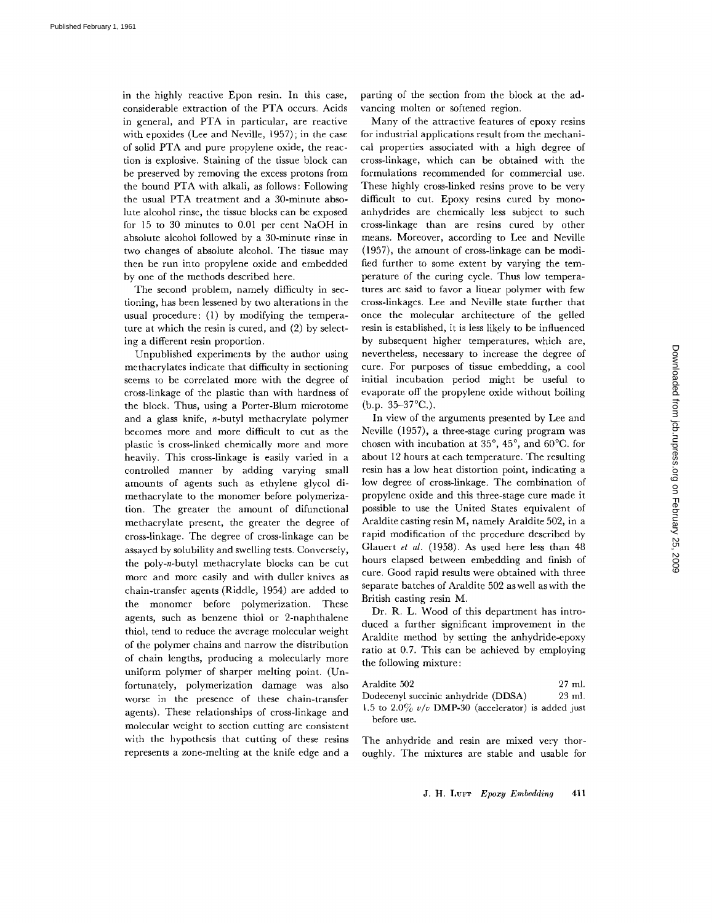in the highly reactive Epon resin. In this case, considerable extraction of the PTA occurs. Acids in general, and PTA in particular, are reactive with epoxides (Lee and Neville, 1957); in the case of solid PTA and pure propylene oxide, the reaction is explosive. Staining of the tissue block can be preserved by removing the excess protons from the bound PTA with alkali, as follows: Following the usual PTA treatment and a 30-minute absolute alcohol rinse, the tissue blocks can be exposed for 15 to 30 minutes to 0.01 per cent NaOH in absolute alcohol followed by a 30-minute rinse in two changes of absolute alcohol. The tissue may then be run into propylene oxide and embedded by one of the methods described here.

The second problem, namely difficulty in sectioning, has been lessened by two alterations in the usual procedure: (1) by modifying the temperature at which the resin is cured, and (2) by selecting a different resin proportion.

Unpublished experiments by the author using methacrylates indicate that difficulty in sectioning seems to be correlated more with the degree of cross-linkage of the plastic than with hardness of the block. Thus, using a Porter-Blum microtome and a glass knife, n-butyl methacrylate polymer becomes more and more difficult to cut as the plastic is cross-linked chemically more and more heavily. This cross-linkage is easily varied in a controlled manner by adding varying small amounts of agents such as ethylene glycol dimethacrylate to the monomer before polymerization. The greater the amount of difunctional methacrylate present, the greater the degree of cross-linkage. The degree of cross-linkage can be assayed by solubility and swelling tests. Conversely, the poly-n-butyl methacrylate blocks can be cut more and more easily and with duller knives as chain-transfer agents (Riddle, 1954) are added to the monomer before polymerization. These agents, such as benzene thiol or 2-naphthalene thiol, tend to reduce the average molecular weight of the polymer chains and narrow the distribution of chain lengths, producing a molecularly more uniform polymer of sharper melting point. (Unfortunately, polymerization damage was also worse in the presence of these chain-transfer agents). These relationships of cross-linkage and molecular weight to section cutting are consistent with the hypothesis that cutting of these resins represents a zone-mehing at the knife edge and a parting of the section from the block at the advancing molten or softened region.

Many of the attractive features of epoxy resins for industrial applications result from the mechanical properties associated with a high degree of cross-linkage, which can be obtained with the formulations recommended for commercial use. These highly cross-linked resins prove to be very difficult to cut. Epoxy resins cured by monoanhydrides are chemically less subject to such cross-linkage than are resins cured by other means. Moreover, according to Lee and Neville (1957), the amount of cross-linkage can be modified further to some extent by varying the temperature of the curing cycle. Thus low temperatures are said to favor a linear polymer with few cross-linkages. Lee and Neville state further that once the molecular architecture of the gelled resin is established, it is less likely to be influenced by subsequent higher temperatures, which are, nevertheless, necessary to increase the degree of cure. For purposes of tissue embedding, a cool initial incubation period might be useful to evaporate off the propylene oxide without boiling  $(b.p. 35-37°C.)$ .

In view of the arguments presented by Lee and Neville (1957), a three-stage curing program was chosen with incubation at  $35^{\circ}$ ,  $45^{\circ}$ , and  $60^{\circ}$ C. for about 12 hours at each temperature. The resulting resin has a low heat distortion point, indicating a low degree of cross-linkage. The combination of propylene oxide and this three-stage cure made it possible to use the United States equivalent of Araldite casting resin M, namely Araldite 502, in a rapid modification of the procedure described by Glauert *et al.* (1958). As used here less than 48 hours elapsed between embedding and finish of cure. Good rapid results were obtained with three separate batches of Araldite 502 aswell aswith the British casting resin M.

Dr. R. L. Wood of this department has introduced a further significant improvement in the Araldite method by setting the anhydride-epoxy ratio at 0.7. This can be achieved by employing the following mixture:

| Araldite 502                                         | 27 ml.   |
|------------------------------------------------------|----------|
| Dodecenyl succinic anhydride (DDSA)                  | $23$ ml. |
| 1.5 to 2.0% $v/v$ DMP-30 (accelerator) is added just |          |
| before use.                                          |          |

The anhydride and resin are mixed very thoroughly. The mixtures are stable and usable for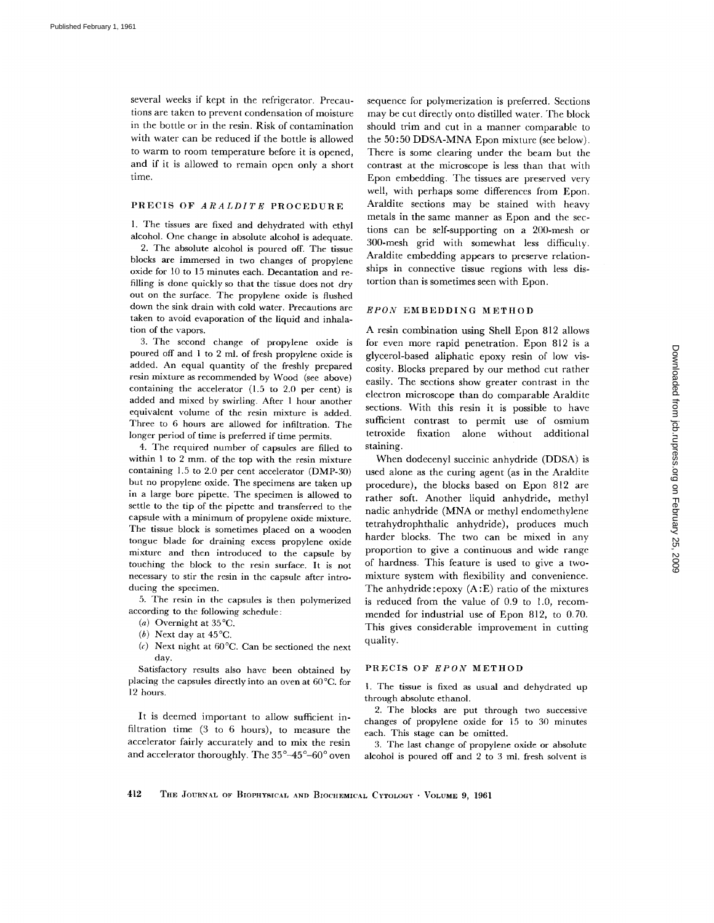several weeks if kept in the refrigerator. Precautions are taken to prevent condensation of moisture in the bottle or in the resin. Risk of contamination with water can be reduced if the bottle is allowed to warm to room temperature before it is opened, and if it is allowed to remain open only a short time.

#### PRECIS OF *ARALDITE* PROCEDURE

1. The tissues are fixed and dehydrated with ethyl alcohol. One change in absolute alcohol is adequate.

2. The absolute alcohol is poured off. The tissue blocks are immersed in two changes of propylene oxide for 10 to 15 minutes each. Decantation and refilling is done quickly so that the tissue does not dry out on the surface. The propylene oxide is flushed down the sink drain with cold water. Precautions are taken to avoid evaporation of the liquid and inhalation of the vapors.

3. The second change of propylene oxide is poured off and 1 to 2 ml. of fresh propylene oxide is added. An equal quantity of the freshly prepared resin mixture as recommended by Wood (see above) containing the accelerator (1.5 to 2.0 per cent) is added and mixed by swirling. After 1 hour another equivalent volume of the resin mixture is added. Three to 6 hours are allowed for infiltration. The longer period of time is preferred if time permits.

4. The required number of capsules are filled to within 1 to 2 mm. of the top with the resin mixture containing 1.5 to 2.0 per cent accelerator (DMP-30) but no propylene oxide. The specimens are taken up in a large bore pipette. The specimen is allowed to settle to the tip of the pipette and transferred to the capsule with a minimum of propylene oxide mixture. The tissue block is sometimes placed on a wooden tongue blade for draining excess propylene oxide mixture and then introduced to the capsule by touching the block to the resin surface. It is not necessary to stir the resin in the capsule after introducing the specimen.

5. The resin in the capsules is then polymerized according to the following schedule:

- (a) Overnight at 35°C.
- (b) Next day at  $45^{\circ}$ C.
- *(c)* Next night at 60°C. Can be sectioned the next day.

Satisfactory results also have been obtained by placing the capsules directly into an oven at 60°C. for 12 hours.

It is deemed important to allow sufficient infiltration time (3 to 6 hours), to measure the accelerator fairly accurately and to mix the resin and accelerator thoroughly. The  $35^{\circ}\text{--}45^{\circ}\text{--}60^{\circ}$  oven sequence for polymerization is preferred. Sections may be cut directly onto distilled water. The block should trim and cut in a manner comparable to the 50:50 DDSA-MNA Epon mixture (see below). There is some clearing under the beam but the contrast at the microscope is less than that with Epon embedding. The tissues are preserved very well, with perhaps some differences from Epon. Araldite sections may be stained with heavy metals in the same manner as Epon and the sections can be self-supporting on a 200-mesh or 300-mesh grid with somewhat less difficulty. Araldite embedding appears to preserve relationships in connective tissue regions with less distortion than is sometimes seen with Epon.

#### *EPON* EMBEDDING METHOD

A resin combination using Shell Epon 812 allows for even more rapid penetration. Epon 812 is a glycerol-based aliphatic epoxy resin of low viscosity. Blocks prepared by our method cut rather easily. The sections show greater contrast in the electron microscope than do comparable Araldite sections. With this resin it is possible to have sufficient contrast to permit use of osmium tetroxide fixation alone without additional staining.

When dodecenyl succinic anhydride (DDSA) is used alone as the curing agent (as in the Araldite procedure), the blocks based on Epon 812 are rather soft. Another liquid anhydride, methyl nadic anhydride (MNA or methyl *endomethylene*  tetrahydrophthalic anhydride), produces much harder blocks. The two can be mixed in any proportion to give a continuous and wide range of hardness. This feature is used to give a twomixture system with flexibility and convenience. The anhydride :epoxy (A :E) ratio of the mixtures is reduced from the value of 0.9 to 1.0, recommended for industrial use of Epon 812, to 0.70. This gives considerable improvement in cutting quality.

## PRECIS OF *EPON* METHOD

1. The tissue is fixed as usual and dehydrated up through absolute ethanol.

2. The blocks are put through two successive changes of propylene oxide for 15 to 30 minutes each. This stage can be omitted.

3. The last change of propylene oxide or absolute alcohol is poured off and 2 to 3 ml. fresh solvent is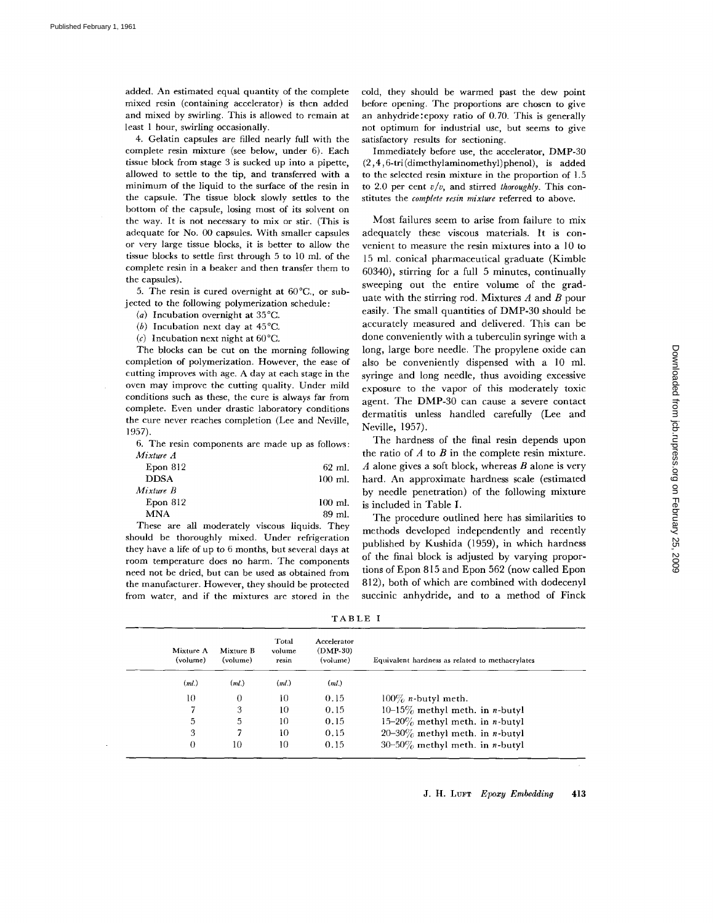added. An estimated equal quantity of the complete mixed resin (containing accelerator) is then added and mixed by swirling. This is allowed to remain at least 1 hour, swirling occasionally.

4. Gelatin capsules are filled nearly full with the complete resin mixture (see below, under 6). Each tissue block from stage 3 is sucked up into a pipette, allowed to settle to the tip, and transferred with a minimum of the liquid to the surface of the resin in the capsule. The tissue block slowly settles to the bottom of the capsule, losing most of its solvent on the way. It is not necessary to mix or stir. (This is adequate for No. 00 capsules. With smaller capsules or very large tissue blocks, it is better to allow the tissue blocks to settle first through 5 to 10 ml. of the complete resin in a beaker and then transfer them to the capsules).

5. The resin is cured overnight at 60°C., or subjected to the following polymerization schedule:

- (a) Incubation overnight at 35°C.
- (b) Incubation next day at 45°C.
- (c) Incubation next night at  $60^{\circ}$ C.

The blocks can be cut on the morning following completion of polymerization. However, the ease of cutting improves with age. A day at each stage in the oven may improve the cutting quality. Under mild conditions such as these, the cure is always far from complete. Even under drastic laboratory conditions the cure never reaches completion (Lee and Neville, 1957).

6. The resin components are made up as follows: *Mixture A* 

| Epon 812    | $62$ ml.  |
|-------------|-----------|
| <b>DDSA</b> | $100$ ml. |
| Mixture B   |           |
| Epon 812    | $100$ ml. |
| MNA         | 89 ml.    |

These are all moderately viscous liquids. They should be thoroughly mixed. Under refrigeration they have a life of up to 6 months, but several days at room temperature does no harm. The components need not be dried, but can be used as obtained from the manufacturer. However, they should be protected from water, and if the mixtures are stored in the cold, they should be warmed past the dew point before opening. The proportions are chosen to give an anhydride:epoxy ratio of 0.70. This is generally not optimum for industrial use, but seems to give satisfactory results for sectioning.

Immediately before use, the accelerator, DMP-30 (2,4,6-tri(dimethylaminomethyl)phenol), is added to the selected resin mixture in the proportion of 1.5 to 2.0 per cent *v/v,* and stirred *thoroughly.* This constitutes the *complete resin mixture* referred to above.

Most failures seem to arise from failure to mix adequately these viscous materials. It is convenient to measure the resin mixtures into a 10 to 15 ml. conical pharmaceutical graduate (Kimble 60340), stirring for a full 5 minutes, continually sweeping out the entire volume of the graduate with the stirring rod. Mixtures  $A$  and  $B$  pour easily. The small quantities of DMP-30 should be accurately measured and delivered. This can be done conveniently with a tuberculin syringe with a long, large bore needle. The propylene oxide can also be conveniently dispensed with a 10 ml. syringe and long needle, thus avoiding excessive exposure to the vapor of this moderately toxic agent. The DMP-30 can cause a severe contact dermatitis unless handled carefully (Lee and Neville, 1957).

The hardness of the final resin depends upon the ratio of  $A$  to  $B$  in the complete resin mixture.  $A$  alone gives a soft block, whereas  $B$  alone is very hard. An approximate hardness scale (estimated by needle penetration) of the following mixture is included in Table I.

The procedure outlined here has similarities to methods developed independently and recently published by Kushida (1959), in which hardness of the final block is adjusted by varying proportions of Epon 815 and Epon 562 (now called Epon 812), both of which are combined with dodecenyl succinic anhydride, and to a method of Finck

| n<br>ı |  | В. |  |  |  |
|--------|--|----|--|--|--|
|--------|--|----|--|--|--|

| Mixture A<br>(volume) | Mixture B<br>(volume) | Total<br>volume<br>resin | Accelerator<br>$(DMP-30)$<br>(volume) | Equivalent hardness as related to methacrylates |
|-----------------------|-----------------------|--------------------------|---------------------------------------|-------------------------------------------------|
| (ml.)                 | (ml.)                 | (ml)                     | (ml)                                  |                                                 |
| 10                    | $\theta$              | 10                       | 0.15                                  | $100\%$ <i>n</i> -butyl meth.                   |
|                       | 3                     | 10                       | 0.15                                  | 10-15 $\%$ methyl meth. in <i>n</i> -butyl      |
| 5                     | 5                     | 10                       | 0.15                                  | 15-20% methyl meth. in <i>n</i> -butyl          |
| 3                     |                       | 10                       | 0.15                                  | $20-30\%$ methyl meth. in <i>n</i> -butyl       |
| 0                     | 10                    | 10                       | 0.15                                  | $30-50\%$ methyl meth. in <i>n</i> -butyl       |